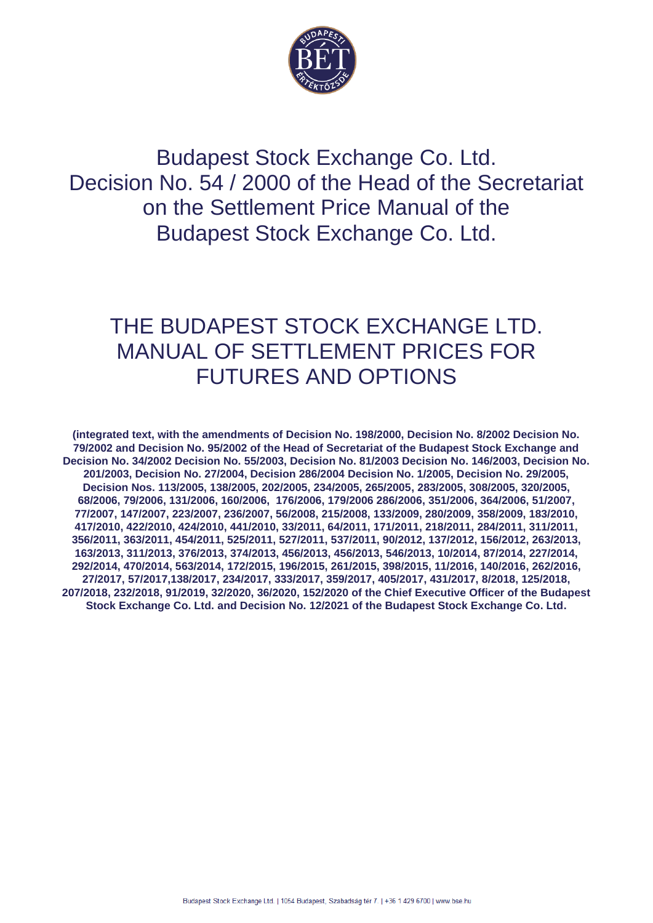

Budapest Stock Exchange Co. Ltd. Decision No. 54 / 2000 of the Head of the Secretariat on the Settlement Price Manual of the Budapest Stock Exchange Co. Ltd.

# THE BUDAPEST STOCK EXCHANGE LTD. MANUAL OF SETTLEMENT PRICES FOR FUTURES AND OPTIONS

**(integrated text, with the amendments of Decision No. 198/2000, Decision No. 8/2002 Decision No. 79/2002 and Decision No. 95/2002 of the Head of Secretariat of the Budapest Stock Exchange and Decision No. 34/2002 Decision No. 55/2003, Decision No. 81/2003 Decision No. 146/2003, Decision No. 201/2003, Decision No. 27/2004, Decision 286/2004 Decision No. 1/2005, Decision No. 29/2005, Decision Nos. 113/2005, 138/2005, 202/2005, 234/2005, 265/2005, 283/2005, 308/2005, 320/2005, 68/2006, 79/2006, 131/2006, 160/2006, 176/2006, 179/2006 286/2006, 351/2006, 364/2006, 51/2007, 77/2007, 147/2007, 223/2007, 236/2007, 56/2008, 215/2008, 133/2009, 280/2009, 358/2009, 183/2010, 417/2010, 422/2010, 424/2010, 441/2010, 33/2011, 64/2011, 171/2011, 218/2011, 284/2011, 311/2011, 356/2011, 363/2011, 454/2011, 525/2011, 527/2011, 537/2011, 90/2012, 137/2012, 156/2012, 263/2013, 163/2013, 311/2013, 376/2013, 374/2013, 456/2013, 456/2013, 546/2013, 10/2014, 87/2014, 227/2014, 292/2014, 470/2014, 563/2014, 172/2015, 196/2015, 261/2015, 398/2015, 11/2016, 140/2016, 262/2016, 27/2017, 57/2017,138/2017, 234/2017, 333/2017, 359/2017, 405/2017, 431/2017, 8/2018, 125/2018, 207/2018, 232/2018, 91/2019, 32/2020, 36/2020, 152/2020 of the Chief Executive Officer of the Budapest Stock Exchange Co. Ltd. and Decision No. 12/2021 of the Budapest Stock Exchange Co. Ltd.**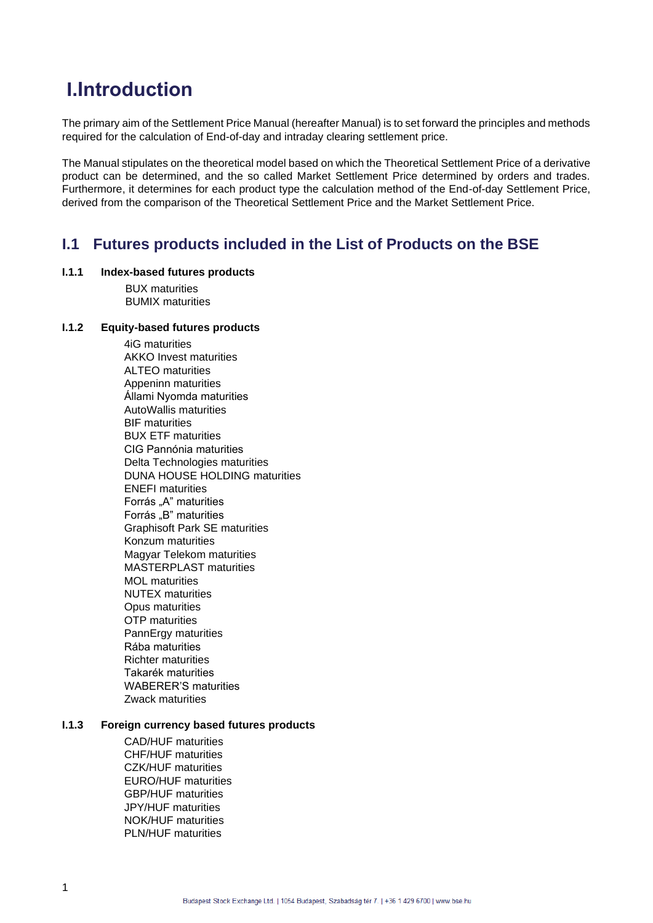# **I.Introduction**

The primary aim of the Settlement Price Manual (hereafter Manual) is to set forward the principles and methods required for the calculation of End-of-day and intraday clearing settlement price.

The Manual stipulates on the theoretical model based on which the Theoretical Settlement Price of a derivative product can be determined, and the so called Market Settlement Price determined by orders and trades. Furthermore, it determines for each product type the calculation method of the End-of-day Settlement Price, derived from the comparison of the Theoretical Settlement Price and the Market Settlement Price.

### **I.1 Futures products included in the List of Products on the BSE**

### **I.1.1 Index-based futures products**

BUX maturities BUMIX maturities

### **I.1.2 Equity-based futures products**

4iG maturities AKKO Invest maturities ALTEO maturities Appeninn maturities Állami Nyomda maturities AutoWallis maturities BIF maturities BUX ETF maturities CIG Pannónia maturities Delta Technologies maturities DUNA HOUSE HOLDING maturities ENEFI maturities Forrás "A" maturities Forrás "B" maturities Graphisoft Park SE maturities Konzum maturities Magyar Telekom maturities MASTERPLAST maturities MOL maturities NUTEX maturities Opus maturities OTP maturities PannErgy maturities Rába maturities Richter maturities Takarék maturities WABERER'S maturities Zwack maturities

### **I.1.3 Foreign currency based futures products**

CAD/HUF maturities CHF/HUF maturities CZK/HUF maturities EURO/HUF maturities GBP/HUF maturities JPY/HUF maturities NOK/HUF maturities PLN/HUF maturities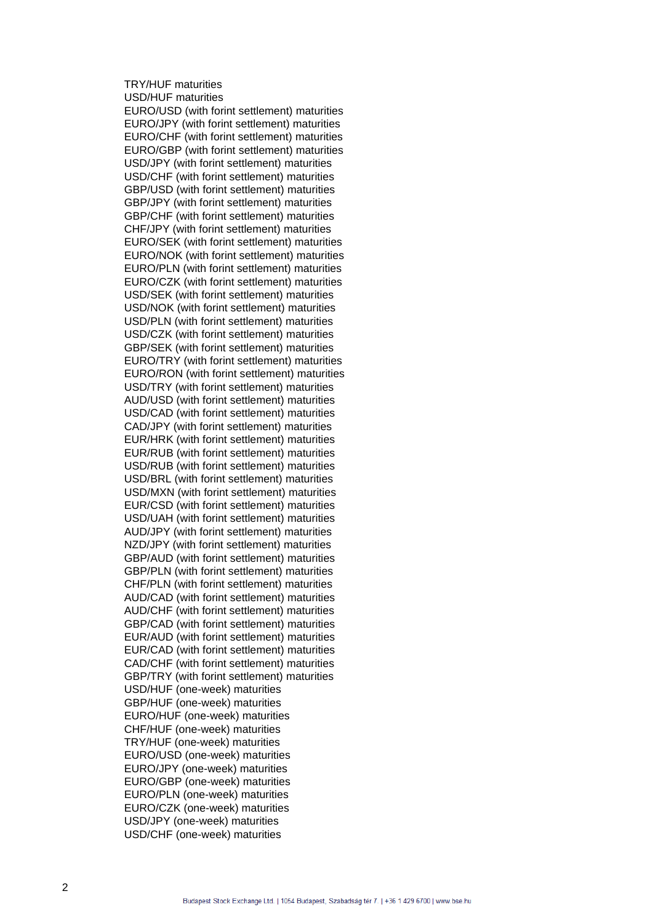### TRY/HUF maturities USD/HUF maturities

EURO/USD (with forint settlement) maturities EURO/JPY (with forint settlement) maturities EURO/CHF (with forint settlement) maturities EURO/GBP (with forint settlement) maturities USD/JPY (with forint settlement) maturities USD/CHF (with forint settlement) maturities GBP/USD (with forint settlement) maturities GBP/JPY (with forint settlement) maturities GBP/CHF (with forint settlement) maturities CHF/JPY (with forint settlement) maturities EURO/SEK (with forint settlement) maturities EURO/NOK (with forint settlement) maturities EURO/PLN (with forint settlement) maturities EURO/CZK (with forint settlement) maturities USD/SEK (with forint settlement) maturities USD/NOK (with forint settlement) maturities USD/PLN (with forint settlement) maturities USD/CZK (with forint settlement) maturities GBP/SEK (with forint settlement) maturities EURO/TRY (with forint settlement) maturities EURO/RON (with forint settlement) maturities USD/TRY (with forint settlement) maturities AUD/USD (with forint settlement) maturities USD/CAD (with forint settlement) maturities CAD/JPY (with forint settlement) maturities EUR/HRK (with forint settlement) maturities EUR/RUB (with forint settlement) maturities USD/RUB (with forint settlement) maturities USD/BRL (with forint settlement) maturities USD/MXN (with forint settlement) maturities EUR/CSD (with forint settlement) maturities USD/UAH (with forint settlement) maturities AUD/JPY (with forint settlement) maturities NZD/JPY (with forint settlement) maturities GBP/AUD (with forint settlement) maturities GBP/PLN (with forint settlement) maturities CHF/PLN (with forint settlement) maturities AUD/CAD (with forint settlement) maturities AUD/CHF (with forint settlement) maturities GBP/CAD (with forint settlement) maturities EUR/AUD (with forint settlement) maturities EUR/CAD (with forint settlement) maturities CAD/CHF (with forint settlement) maturities GBP/TRY (with forint settlement) maturities USD/HUF (one-week) maturities GBP/HUF (one-week) maturities EURO/HUF (one-week) maturities CHF/HUF (one-week) maturities TRY/HUF (one-week) maturities EURO/USD (one-week) maturities EURO/JPY (one-week) maturities EURO/GBP (one-week) maturities EURO/PLN (one-week) maturities EURO/CZK (one-week) maturities USD/JPY (one-week) maturities USD/CHF (one-week) maturities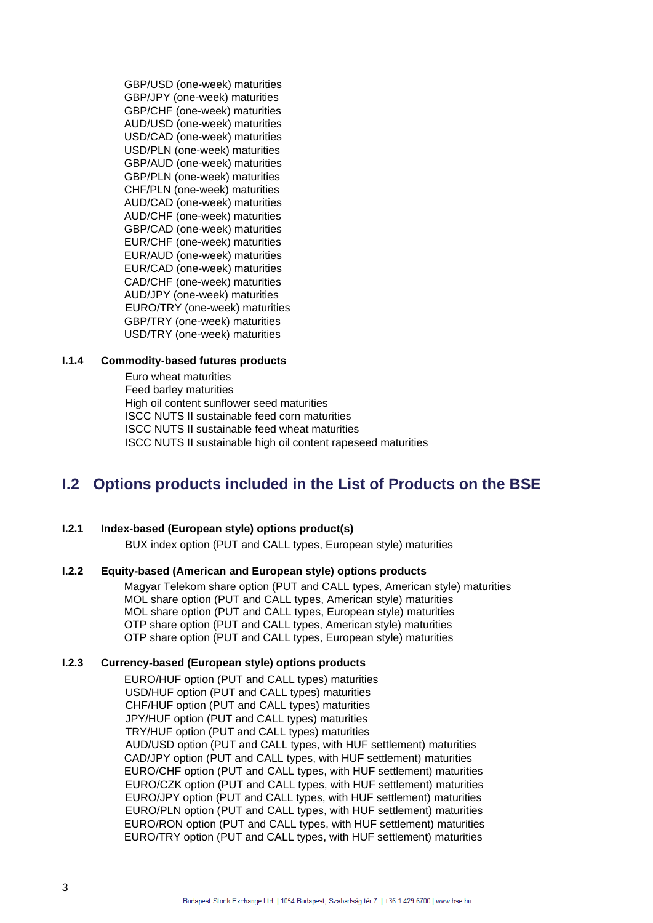GBP/USD (one-week) maturities GBP/JPY (one-week) maturities GBP/CHF (one-week) maturities AUD/USD (one-week) maturities USD/CAD (one-week) maturities USD/PLN (one-week) maturities GBP/AUD (one-week) maturities GBP/PLN (one-week) maturities CHF/PLN (one-week) maturities AUD/CAD (one-week) maturities AUD/CHF (one-week) maturities GBP/CAD (one-week) maturities EUR/CHF (one-week) maturities EUR/AUD (one-week) maturities EUR/CAD (one-week) maturities CAD/CHF (one-week) maturities AUD/JPY (one-week) maturities EURO/TRY (one-week) maturities GBP/TRY (one-week) maturities USD/TRY (one-week) maturities

### **I.1.4 Commodity-based futures products**

Euro wheat maturities Feed barley maturities High oil content sunflower seed maturities ISCC NUTS II sustainable feed corn maturities ISCC NUTS II sustainable feed wheat maturities ISCC NUTS II sustainable high oil content rapeseed maturities

# **I.2 Options products included in the List of Products on the BSE**

### **I.2.1 Index-based (European style) options product(s)**

BUX index option (PUT and CALL types, European style) maturities

### **I.2.2 Equity-based (American and European style) options products**

Magyar Telekom share option (PUT and CALL types, American style) maturities MOL share option (PUT and CALL types, American style) maturities MOL share option (PUT and CALL types, European style) maturities OTP share option (PUT and CALL types, American style) maturities OTP share option (PUT and CALL types, European style) maturities

### **I.2.3 Currency-based (European style) options products**

EURO/HUF option (PUT and CALL types) maturities USD/HUF option (PUT and CALL types) maturities CHF/HUF option (PUT and CALL types) maturities JPY/HUF option (PUT and CALL types) maturities TRY/HUF option (PUT and CALL types) maturities AUD/USD option (PUT and CALL types, with HUF settlement) maturities CAD/JPY option (PUT and CALL types, with HUF settlement) maturities EURO/CHF option (PUT and CALL types, with HUF settlement) maturities EURO/CZK option (PUT and CALL types, with HUF settlement) maturities EURO/JPY option (PUT and CALL types, with HUF settlement) maturities EURO/PLN option (PUT and CALL types, with HUF settlement) maturities EURO/RON option (PUT and CALL types, with HUF settlement) maturities EURO/TRY option (PUT and CALL types, with HUF settlement) maturities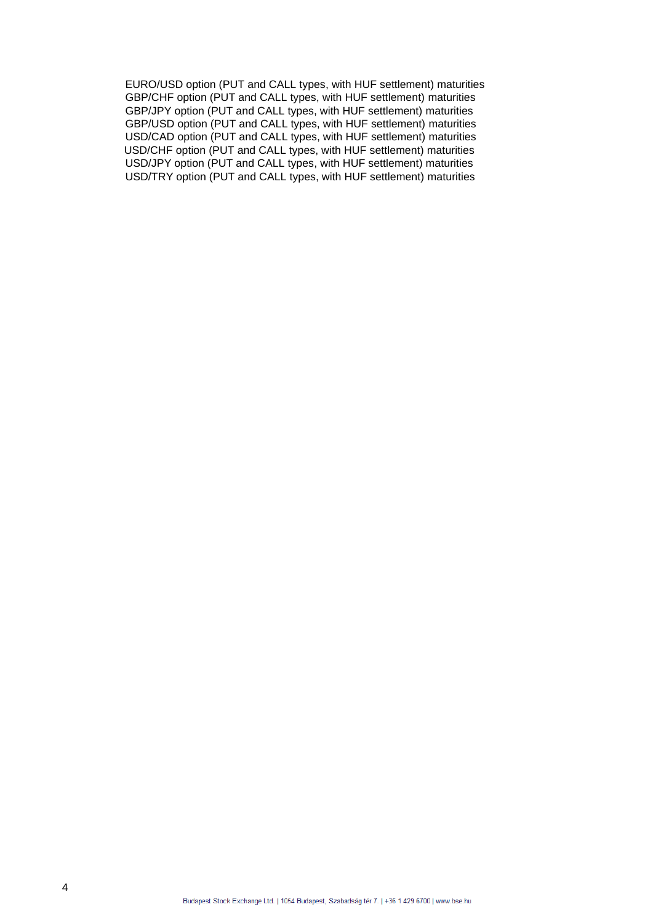EURO/USD option (PUT and CALL types, with HUF settlement) maturities GBP/CHF option (PUT and CALL types, with HUF settlement) maturities GBP/JPY option (PUT and CALL types, with HUF settlement) maturities GBP/USD option (PUT and CALL types, with HUF settlement) maturities USD/CAD option (PUT and CALL types, with HUF settlement) maturities USD/CHF option (PUT and CALL types, with HUF settlement) maturities USD/JPY option (PUT and CALL types, with HUF settlement) maturities USD/TRY option (PUT and CALL types, with HUF settlement) maturities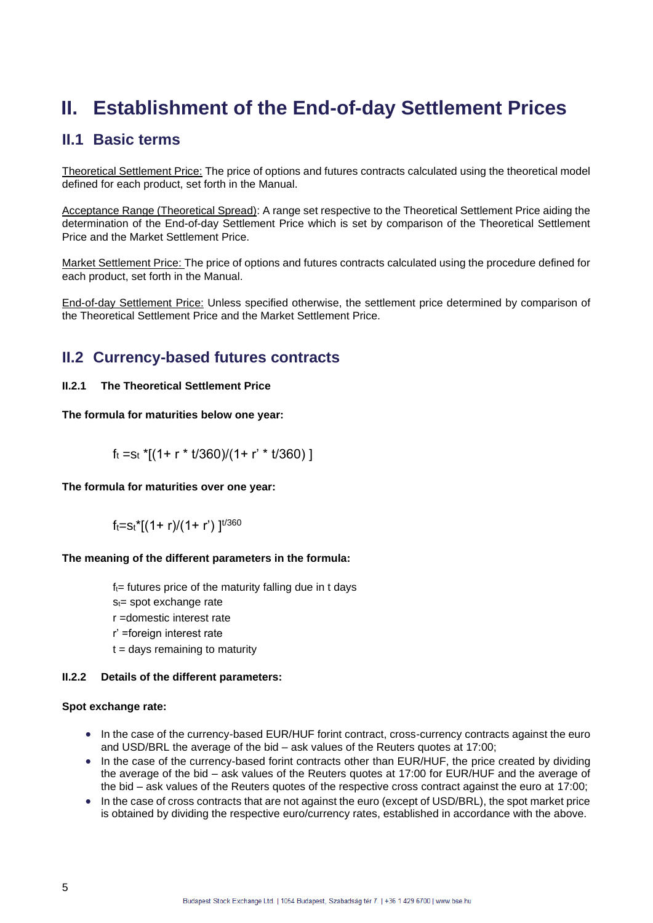# **II. Establishment of the End-of-day Settlement Prices**

## **II.1 Basic terms**

Theoretical Settlement Price: The price of options and futures contracts calculated using the theoretical model defined for each product, set forth in the Manual.

Acceptance Range (Theoretical Spread): A range set respective to the Theoretical Settlement Price aiding the determination of the End-of-day Settlement Price which is set by comparison of the Theoretical Settlement Price and the Market Settlement Price.

Market Settlement Price: The price of options and futures contracts calculated using the procedure defined for each product, set forth in the Manual.

End-of-day Settlement Price: Unless specified otherwise, the settlement price determined by comparison of the Theoretical Settlement Price and the Market Settlement Price.

# **II.2 Currency-based futures contracts**

### **II.2.1 The Theoretical Settlement Price**

**The formula for maturities below one year:**

 $f_t = s_t$  \*[(1+ r \* t/360)/(1+ r' \* t/360)]

**The formula for maturities over one year:**

 $f_t = s_t$ <sup>\*</sup>[(1+ r)/(1+ r')]<sup>t/360</sup>

### **The meaning of the different parameters in the formula:**

 $f_t$ = futures price of the maturity falling due in t days

 $s_t$ = spot exchange rate

r =domestic interest rate

- r' =foreign interest rate
- $t =$  days remaining to maturity

### **II.2.2 Details of the different parameters:**

### **Spot exchange rate:**

- In the case of the currency-based EUR/HUF forint contract, cross-currency contracts against the euro and USD/BRL the average of the bid – ask values of the Reuters quotes at 17:00;
- In the case of the currency-based forint contracts other than EUR/HUF, the price created by dividing the average of the bid – ask values of the Reuters quotes at 17:00 for EUR/HUF and the average of the bid – ask values of the Reuters quotes of the respective cross contract against the euro at 17:00;
- In the case of cross contracts that are not against the euro (except of USD/BRL), the spot market price is obtained by dividing the respective euro/currency rates, established in accordance with the above.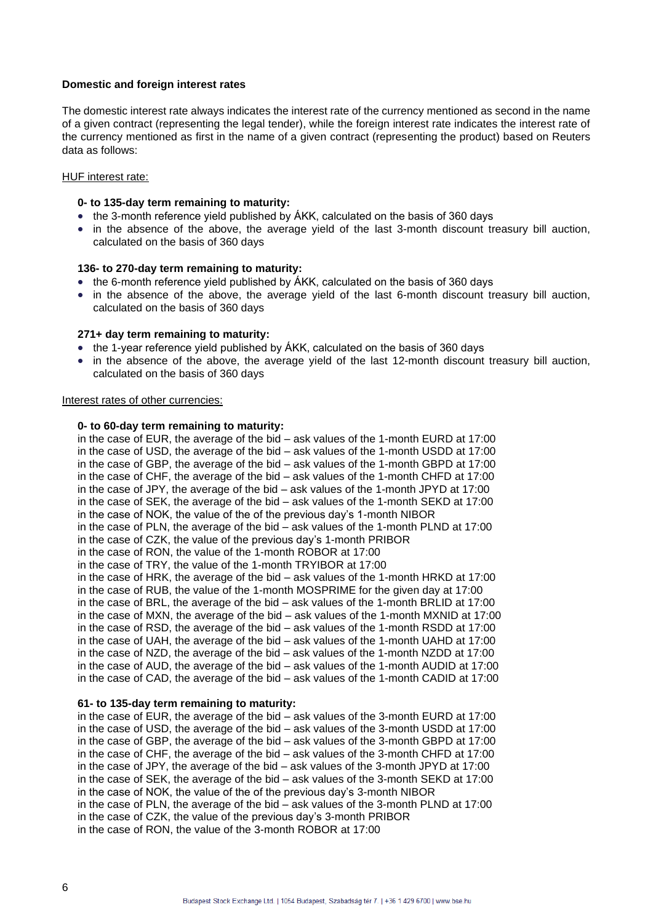### **Domestic and foreign interest rates**

The domestic interest rate always indicates the interest rate of the currency mentioned as second in the name of a given contract (representing the legal tender), while the foreign interest rate indicates the interest rate of the currency mentioned as first in the name of a given contract (representing the product) based on Reuters data as follows:

### HUF interest rate:

### **0- to 135-day term remaining to maturity:**

- the 3-month reference yield published by AKK, calculated on the basis of 360 days
- in the absence of the above, the average yield of the last 3-month discount treasury bill auction, calculated on the basis of 360 days

### **136- to 270-day term remaining to maturity:**

- the 6-month reference yield published by ÁKK, calculated on the basis of 360 days
- in the absence of the above, the average yield of the last 6-month discount treasury bill auction, calculated on the basis of 360 days

### **271+ day term remaining to maturity:**

- the 1-year reference yield published by AKK, calculated on the basis of 360 days
- in the absence of the above, the average yield of the last 12-month discount treasury bill auction, calculated on the basis of 360 days

### Interest rates of other currencies:

### **0- to 60-day term remaining to maturity:**

in the case of EUR, the average of the bid – ask values of the 1-month EURD at 17:00 in the case of USD, the average of the bid – ask values of the 1-month USDD at 17:00 in the case of GBP, the average of the bid – ask values of the 1-month GBPD at 17:00 in the case of CHF, the average of the bid – ask values of the 1-month CHFD at 17:00 in the case of JPY, the average of the bid – ask values of the 1-month JPYD at 17:00 in the case of SEK, the average of the bid – ask values of the 1-month SEKD at 17:00 in the case of NOK, the value of the of the previous day's 1-month NIBOR in the case of PLN, the average of the bid – ask values of the 1-month PLND at 17:00 in the case of CZK, the value of the previous day's 1-month PRIBOR in the case of RON, the value of the 1-month ROBOR at 17:00 in the case of TRY, the value of the 1-month TRYIBOR at 17:00 in the case of HRK, the average of the bid – ask values of the 1-month HRKD at 17:00 in the case of RUB, the value of the 1-month MOSPRIME for the given day at 17:00 in the case of BRL, the average of the bid – ask values of the 1-month BRLID at 17:00 in the case of MXN, the average of the bid – ask values of the 1-month MXNID at 17:00 in the case of RSD, the average of the bid – ask values of the 1-month RSDD at 17:00 in the case of UAH, the average of the bid – ask values of the 1-month UAHD at 17:00 in the case of NZD, the average of the bid – ask values of the 1-month NZDD at 17:00 in the case of AUD, the average of the bid – ask values of the 1-month AUDID at 17:00 in the case of CAD, the average of the bid – ask values of the 1-month CADID at 17:00

### **61- to 135-day term remaining to maturity:**

in the case of EUR, the average of the bid – ask values of the 3-month EURD at 17:00 in the case of USD, the average of the bid – ask values of the 3-month USDD at 17:00 in the case of GBP, the average of the bid – ask values of the 3-month GBPD at 17:00 in the case of CHF, the average of the bid – ask values of the 3-month CHFD at 17:00 in the case of JPY, the average of the bid – ask values of the 3-month JPYD at 17:00 in the case of SEK, the average of the bid – ask values of the 3-month SEKD at 17:00 in the case of NOK, the value of the of the previous day's 3-month NIBOR in the case of PLN, the average of the bid – ask values of the 3-month PLND at 17:00 in the case of CZK, the value of the previous day's 3-month PRIBOR in the case of RON, the value of the 3-month ROBOR at 17:00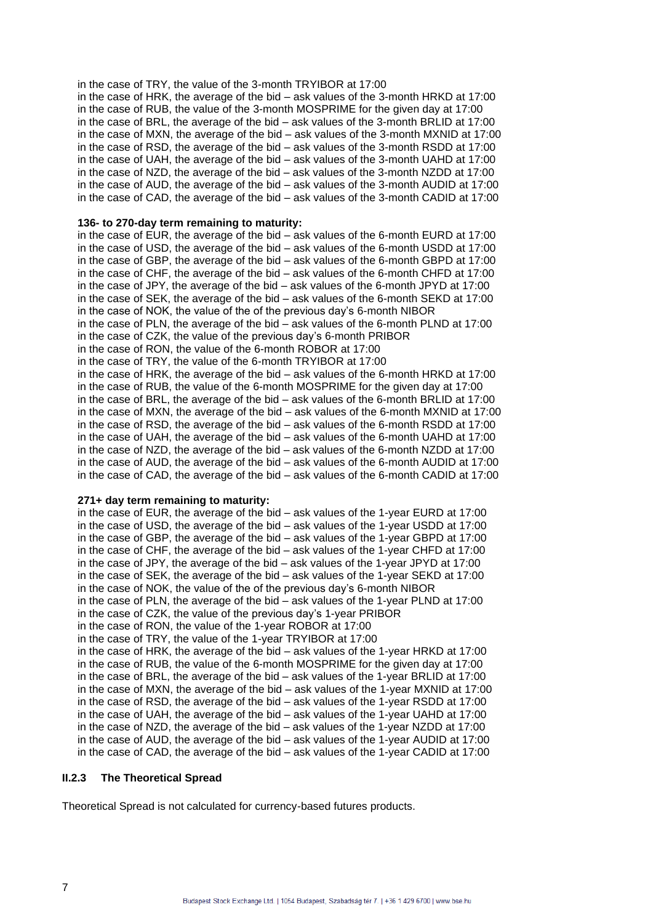in the case of TRY, the value of the 3-month TRYIBOR at 17:00 in the case of HRK, the average of the bid – ask values of the 3-month HRKD at 17:00 in the case of RUB, the value of the 3-month MOSPRIME for the given day at 17:00 in the case of BRL, the average of the bid – ask values of the 3-month BRLID at 17:00 in the case of MXN, the average of the bid – ask values of the 3-month MXNID at 17:00 in the case of RSD, the average of the bid – ask values of the 3-month RSDD at 17:00 in the case of UAH, the average of the bid – ask values of the 3-month UAHD at 17:00 in the case of NZD, the average of the bid – ask values of the 3-month NZDD at 17:00 in the case of AUD, the average of the bid – ask values of the 3-month AUDID at 17:00 in the case of CAD, the average of the bid – ask values of the 3-month CADID at 17:00

### **136- to 270-day term remaining to maturity:**

in the case of EUR, the average of the bid – ask values of the 6-month EURD at 17:00 in the case of USD, the average of the bid – ask values of the 6-month USDD at 17:00 in the case of GBP, the average of the bid – ask values of the 6-month GBPD at 17:00 in the case of CHF, the average of the bid – ask values of the 6-month CHFD at 17:00 in the case of JPY, the average of the bid – ask values of the 6-month JPYD at 17:00 in the case of SEK, the average of the bid – ask values of the 6-month SEKD at 17:00 in the case of NOK, the value of the of the previous day's 6-month NIBOR in the case of PLN, the average of the bid – ask values of the 6-month PLND at 17:00 in the case of CZK, the value of the previous day's 6-month PRIBOR in the case of RON, the value of the 6-month ROBOR at 17:00 in the case of TRY, the value of the 6-month TRYIBOR at 17:00 in the case of HRK, the average of the bid – ask values of the 6-month HRKD at 17:00 in the case of RUB, the value of the 6-month MOSPRIME for the given day at 17:00 in the case of BRL, the average of the bid – ask values of the 6-month BRLID at 17:00 in the case of MXN, the average of the bid – ask values of the 6-month MXNID at 17:00 in the case of RSD, the average of the bid – ask values of the 6-month RSDD at 17:00 in the case of UAH, the average of the bid – ask values of the 6-month UAHD at 17:00 in the case of NZD, the average of the bid – ask values of the 6-month NZDD at 17:00 in the case of AUD, the average of the bid – ask values of the 6-month AUDID at 17:00 in the case of CAD, the average of the bid – ask values of the 6-month CADID at 17:00

### **271+ day term remaining to maturity:**

in the case of EUR, the average of the bid – ask values of the 1-year EURD at 17:00 in the case of USD, the average of the bid – ask values of the 1-year USDD at 17:00 in the case of GBP, the average of the bid – ask values of the 1-year GBPD at 17:00 in the case of CHF, the average of the bid – ask values of the 1-year CHFD at 17:00 in the case of JPY, the average of the bid – ask values of the 1-year JPYD at 17:00 in the case of SEK, the average of the bid – ask values of the 1-year SEKD at 17:00 in the case of NOK, the value of the of the previous day's 6-month NIBOR in the case of PLN, the average of the bid – ask values of the 1-year PLND at 17:00 in the case of CZK, the value of the previous day's 1-year PRIBOR in the case of RON, the value of the 1-year ROBOR at 17:00 in the case of TRY, the value of the 1-year TRYIBOR at 17:00 in the case of HRK, the average of the bid – ask values of the 1-year HRKD at 17:00 in the case of RUB, the value of the 6-month MOSPRIME for the given day at 17:00 in the case of BRL, the average of the bid – ask values of the 1-year BRLID at 17:00 in the case of MXN, the average of the bid – ask values of the 1-year MXNID at 17:00 in the case of RSD, the average of the bid – ask values of the 1-year RSDD at 17:00 in the case of UAH, the average of the bid – ask values of the 1-year UAHD at 17:00 in the case of NZD, the average of the bid – ask values of the 1-year NZDD at 17:00 in the case of AUD, the average of the bid – ask values of the 1-year AUDID at 17:00 in the case of CAD, the average of the bid – ask values of the 1-year CADID at 17:00

### **II.2.3 The Theoretical Spread**

Theoretical Spread is not calculated for currency-based futures products.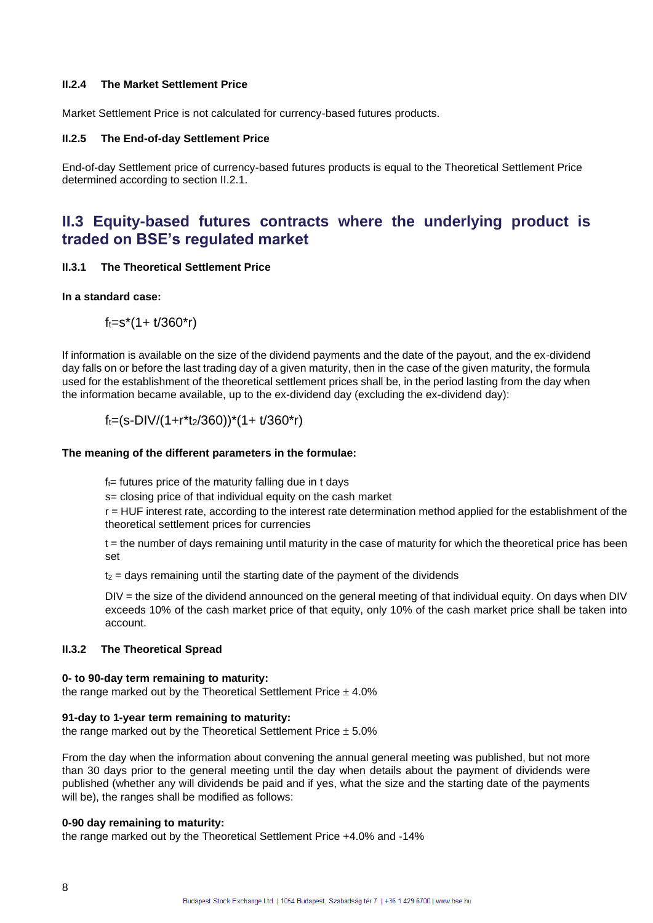### **II.2.4 The Market Settlement Price**

Market Settlement Price is not calculated for currency-based futures products.

### **II.2.5 The End-of-day Settlement Price**

End-of-day Settlement price of currency-based futures products is equal to the Theoretical Settlement Price determined according to section II.2.1.

## **II.3 Equity-based futures contracts where the underlying product is traded on BSE's regulated market**

#### **II.3.1 The Theoretical Settlement Price**

### **In a standard case:**

 $f_t = s^*(1 + t/360^*r)$ 

If information is available on the size of the dividend payments and the date of the payout, and the ex-dividend day falls on or before the last trading day of a given maturity, then in the case of the given maturity, the formula used for the establishment of the theoretical settlement prices shall be, in the period lasting from the day when the information became available, up to the ex-dividend day (excluding the ex-dividend day):

$$
f_t = (s-DIV/(1+r*t/360))^*(1 + t/360*r)
$$

### **The meaning of the different parameters in the formulae:**

 $f_{t=}$  futures price of the maturity falling due in t days

s= closing price of that individual equity on the cash market

r = HUF interest rate, according to the interest rate determination method applied for the establishment of the theoretical settlement prices for currencies

t = the number of days remaining until maturity in the case of maturity for which the theoretical price has been set

 $t<sub>2</sub>$  = days remaining until the starting date of the payment of the dividends

DIV = the size of the dividend announced on the general meeting of that individual equity. On days when DIV exceeds 10% of the cash market price of that equity, only 10% of the cash market price shall be taken into account.

### **II.3.2 The Theoretical Spread**

### **0- to 90-day term remaining to maturity:**

the range marked out by the Theoretical Settlement Price  $\pm$  4.0%

#### **91-day to 1-year term remaining to maturity:**

the range marked out by the Theoretical Settlement Price  $\pm$  5.0%

From the day when the information about convening the annual general meeting was published, but not more than 30 days prior to the general meeting until the day when details about the payment of dividends were published (whether any will dividends be paid and if yes, what the size and the starting date of the payments will be), the ranges shall be modified as follows:

### **0-90 day remaining to maturity:**

the range marked out by the Theoretical Settlement Price +4.0% and -14%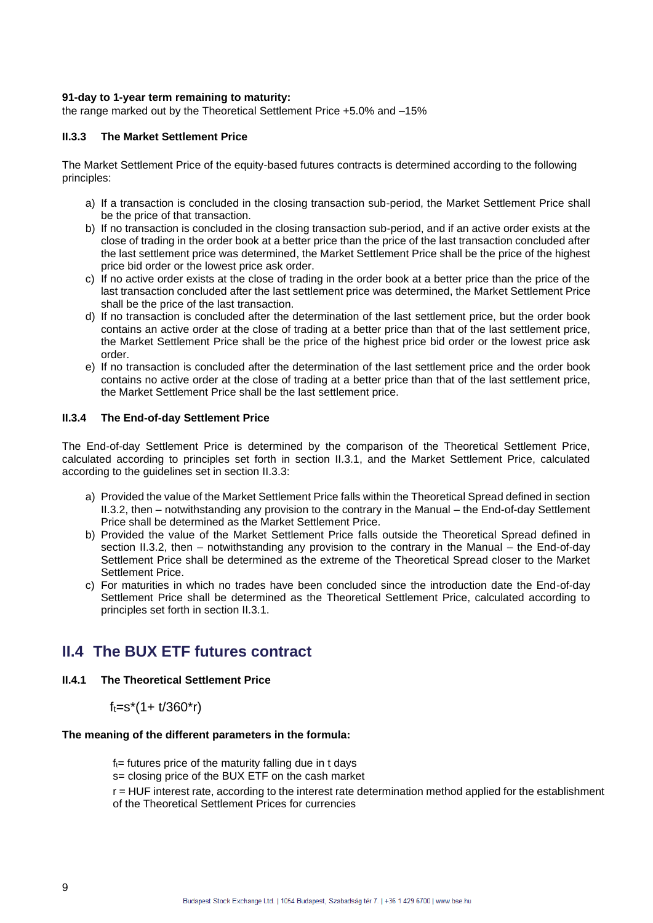### **91-day to 1-year term remaining to maturity:**

the range marked out by the Theoretical Settlement Price +5.0% and –15%

### **II.3.3 The Market Settlement Price**

The Market Settlement Price of the equity-based futures contracts is determined according to the following principles:

- a) If a transaction is concluded in the closing transaction sub-period, the Market Settlement Price shall be the price of that transaction.
- b) If no transaction is concluded in the closing transaction sub-period, and if an active order exists at the close of trading in the order book at a better price than the price of the last transaction concluded after the last settlement price was determined, the Market Settlement Price shall be the price of the highest price bid order or the lowest price ask order.
- c) If no active order exists at the close of trading in the order book at a better price than the price of the last transaction concluded after the last settlement price was determined, the Market Settlement Price shall be the price of the last transaction.
- d) If no transaction is concluded after the determination of the last settlement price, but the order book contains an active order at the close of trading at a better price than that of the last settlement price, the Market Settlement Price shall be the price of the highest price bid order or the lowest price ask order.
- e) If no transaction is concluded after the determination of the last settlement price and the order book contains no active order at the close of trading at a better price than that of the last settlement price, the Market Settlement Price shall be the last settlement price.

### **II.3.4 The End-of-day Settlement Price**

The End-of-day Settlement Price is determined by the comparison of the Theoretical Settlement Price, calculated according to principles set forth in section II.3.1, and the Market Settlement Price, calculated according to the guidelines set in section II.3.3:

- a) Provided the value of the Market Settlement Price falls within the Theoretical Spread defined in section II.3.2, then – notwithstanding any provision to the contrary in the Manual – the End-of-day Settlement Price shall be determined as the Market Settlement Price.
- b) Provided the value of the Market Settlement Price falls outside the Theoretical Spread defined in section II.3.2, then – notwithstanding any provision to the contrary in the Manual – the End-of-day Settlement Price shall be determined as the extreme of the Theoretical Spread closer to the Market Settlement Price.
- c) For maturities in which no trades have been concluded since the introduction date the End-of-day Settlement Price shall be determined as the Theoretical Settlement Price, calculated according to principles set forth in section II.3.1.

### **II.4 The BUX ETF futures contract**

### **II.4.1 The Theoretical Settlement Price**

 $f_t = s^*(1 + t/360^*r)$ 

### **The meaning of the different parameters in the formula:**

 $f_t$ = futures price of the maturity falling due in t days

s= closing price of the BUX ETF on the cash market

r = HUF interest rate, according to the interest rate determination method applied for the establishment of the Theoretical Settlement Prices for currencies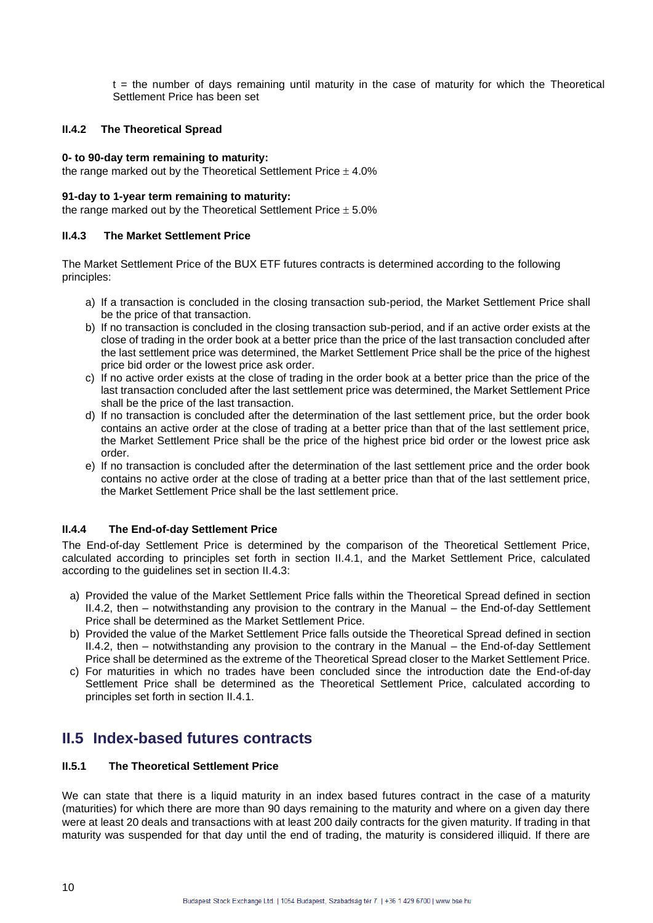$t =$  the number of days remaining until maturity in the case of maturity for which the Theoretical Settlement Price has been set

### **II.4.2 The Theoretical Spread**

### **0- to 90-day term remaining to maturity:**

the range marked out by the Theoretical Settlement Price  $\pm$  4.0%

### **91-day to 1-year term remaining to maturity:**

the range marked out by the Theoretical Settlement Price  $\pm$  5.0%

### **II.4.3 The Market Settlement Price**

The Market Settlement Price of the BUX ETF futures contracts is determined according to the following principles:

- a) If a transaction is concluded in the closing transaction sub-period, the Market Settlement Price shall be the price of that transaction.
- b) If no transaction is concluded in the closing transaction sub-period, and if an active order exists at the close of trading in the order book at a better price than the price of the last transaction concluded after the last settlement price was determined, the Market Settlement Price shall be the price of the highest price bid order or the lowest price ask order.
- c) If no active order exists at the close of trading in the order book at a better price than the price of the last transaction concluded after the last settlement price was determined, the Market Settlement Price shall be the price of the last transaction.
- d) If no transaction is concluded after the determination of the last settlement price, but the order book contains an active order at the close of trading at a better price than that of the last settlement price, the Market Settlement Price shall be the price of the highest price bid order or the lowest price ask order.
- e) If no transaction is concluded after the determination of the last settlement price and the order book contains no active order at the close of trading at a better price than that of the last settlement price, the Market Settlement Price shall be the last settlement price.

### **II.4.4 The End-of-day Settlement Price**

The End-of-day Settlement Price is determined by the comparison of the Theoretical Settlement Price, calculated according to principles set forth in section II.4.1, and the Market Settlement Price, calculated according to the guidelines set in section II.4.3:

- a) Provided the value of the Market Settlement Price falls within the Theoretical Spread defined in section II.4.2, then – notwithstanding any provision to the contrary in the Manual – the End-of-day Settlement Price shall be determined as the Market Settlement Price.
- b) Provided the value of the Market Settlement Price falls outside the Theoretical Spread defined in section II.4.2, then – notwithstanding any provision to the contrary in the Manual – the End-of-day Settlement Price shall be determined as the extreme of the Theoretical Spread closer to the Market Settlement Price.
- c) For maturities in which no trades have been concluded since the introduction date the End-of-day Settlement Price shall be determined as the Theoretical Settlement Price, calculated according to principles set forth in section II.4.1.

### **II.5 Index-based futures contracts**

### **II.5.1 The Theoretical Settlement Price**

We can state that there is a liquid maturity in an index based futures contract in the case of a maturity (maturities) for which there are more than 90 days remaining to the maturity and where on a given day there were at least 20 deals and transactions with at least 200 daily contracts for the given maturity. If trading in that maturity was suspended for that day until the end of trading, the maturity is considered illiquid. If there are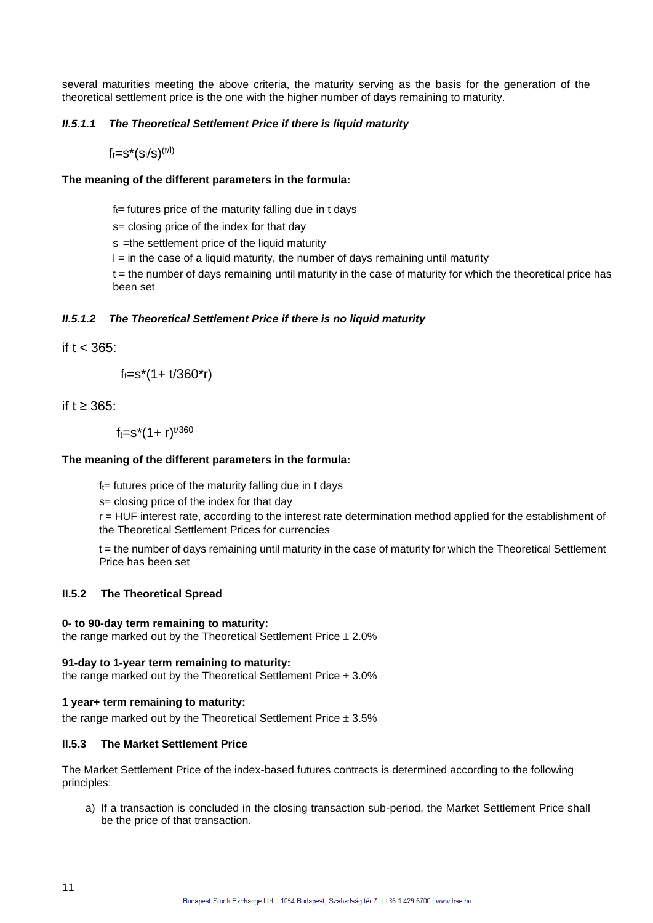several maturities meeting the above criteria, the maturity serving as the basis for the generation of the theoretical settlement price is the one with the higher number of days remaining to maturity.

### *II.5.1.1 The Theoretical Settlement Price if there is liquid maturity*

 $f_t = s^*(s_t/s)^{(t/l)}$ 

### **The meaning of the different parameters in the formula:**

 $f_t$ = futures price of the maturity falling due in t days

s= closing price of the index for that day

 $s<sub>l</sub>$  =the settlement price of the liquid maturity

 $I =$  in the case of a liquid maturity, the number of days remaining until maturity

t = the number of days remaining until maturity in the case of maturity for which the theoretical price has been set

### *II.5.1.2 The Theoretical Settlement Price if there is no liquid maturity*

if  $t < 365$ :

 $f_t = s^*(1 + t/360^*r)$ 

if t ≥ 365:

 $f_t = s^*(1 + r)^{t/360}$ 

### **The meaning of the different parameters in the formula:**

 $f_t$ = futures price of the maturity falling due in t days

s= closing price of the index for that day

r = HUF interest rate, according to the interest rate determination method applied for the establishment of the Theoretical Settlement Prices for currencies

t = the number of days remaining until maturity in the case of maturity for which the Theoretical Settlement Price has been set

### **II.5.2 The Theoretical Spread**

### **0- to 90-day term remaining to maturity:**

the range marked out by the Theoretical Settlement Price  $\pm 2.0\%$ 

### **91-day to 1-year term remaining to maturity:**

the range marked out by the Theoretical Settlement Price  $\pm$  3.0%

### **1 year+ term remaining to maturity:**

the range marked out by the Theoretical Settlement Price  $\pm$  3.5%

### **II.5.3 The Market Settlement Price**

The Market Settlement Price of the index-based futures contracts is determined according to the following principles:

a) If a transaction is concluded in the closing transaction sub-period, the Market Settlement Price shall be the price of that transaction.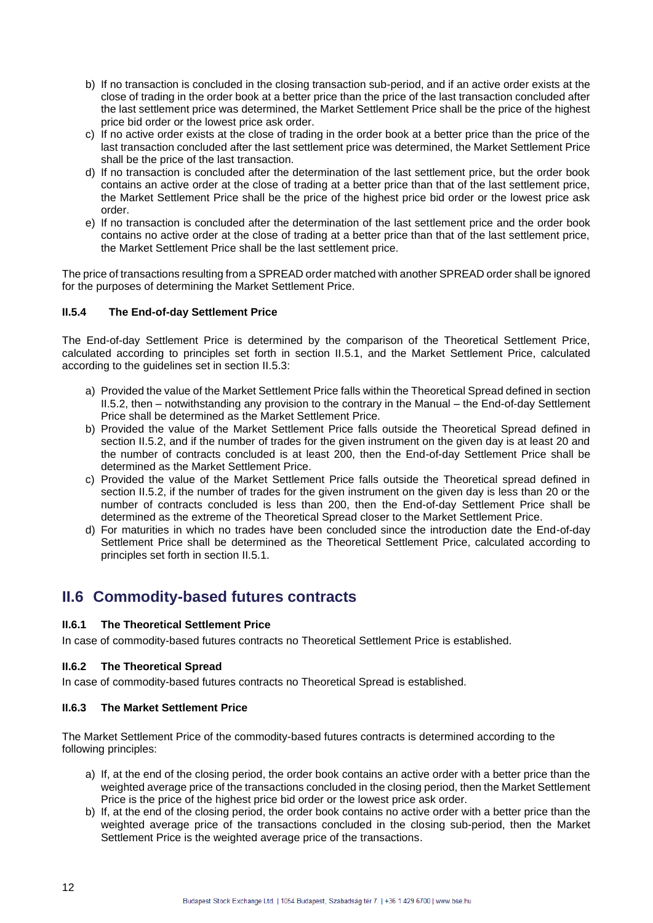- b) If no transaction is concluded in the closing transaction sub-period, and if an active order exists at the close of trading in the order book at a better price than the price of the last transaction concluded after the last settlement price was determined, the Market Settlement Price shall be the price of the highest price bid order or the lowest price ask order.
- c) If no active order exists at the close of trading in the order book at a better price than the price of the last transaction concluded after the last settlement price was determined, the Market Settlement Price shall be the price of the last transaction.
- d) If no transaction is concluded after the determination of the last settlement price, but the order book contains an active order at the close of trading at a better price than that of the last settlement price, the Market Settlement Price shall be the price of the highest price bid order or the lowest price ask order.
- e) If no transaction is concluded after the determination of the last settlement price and the order book contains no active order at the close of trading at a better price than that of the last settlement price, the Market Settlement Price shall be the last settlement price.

The price of transactions resulting from a SPREAD order matched with another SPREAD order shall be ignored for the purposes of determining the Market Settlement Price.

### **II.5.4 The End-of-day Settlement Price**

The End-of-day Settlement Price is determined by the comparison of the Theoretical Settlement Price, calculated according to principles set forth in section II.5.1, and the Market Settlement Price, calculated according to the guidelines set in section II.5.3:

- a) Provided the value of the Market Settlement Price falls within the Theoretical Spread defined in section II.5.2, then – notwithstanding any provision to the contrary in the Manual – the End-of-day Settlement Price shall be determined as the Market Settlement Price.
- b) Provided the value of the Market Settlement Price falls outside the Theoretical Spread defined in section II.5.2, and if the number of trades for the given instrument on the given day is at least 20 and the number of contracts concluded is at least 200, then the End-of-day Settlement Price shall be determined as the Market Settlement Price.
- c) Provided the value of the Market Settlement Price falls outside the Theoretical spread defined in section II.5.2, if the number of trades for the given instrument on the given day is less than 20 or the number of contracts concluded is less than 200, then the End-of-day Settlement Price shall be determined as the extreme of the Theoretical Spread closer to the Market Settlement Price.
- d) For maturities in which no trades have been concluded since the introduction date the End-of-day Settlement Price shall be determined as the Theoretical Settlement Price, calculated according to principles set forth in section II.5.1.

## **II.6 Commodity-based futures contracts**

### **II.6.1 The Theoretical Settlement Price**

In case of commodity-based futures contracts no Theoretical Settlement Price is established.

### **II.6.2 The Theoretical Spread**

In case of commodity-based futures contracts no Theoretical Spread is established.

### **II.6.3 The Market Settlement Price**

The Market Settlement Price of the commodity-based futures contracts is determined according to the following principles:

- a) If, at the end of the closing period, the order book contains an active order with a better price than the weighted average price of the transactions concluded in the closing period, then the Market Settlement Price is the price of the highest price bid order or the lowest price ask order.
- b) If, at the end of the closing period, the order book contains no active order with a better price than the weighted average price of the transactions concluded in the closing sub-period, then the Market Settlement Price is the weighted average price of the transactions.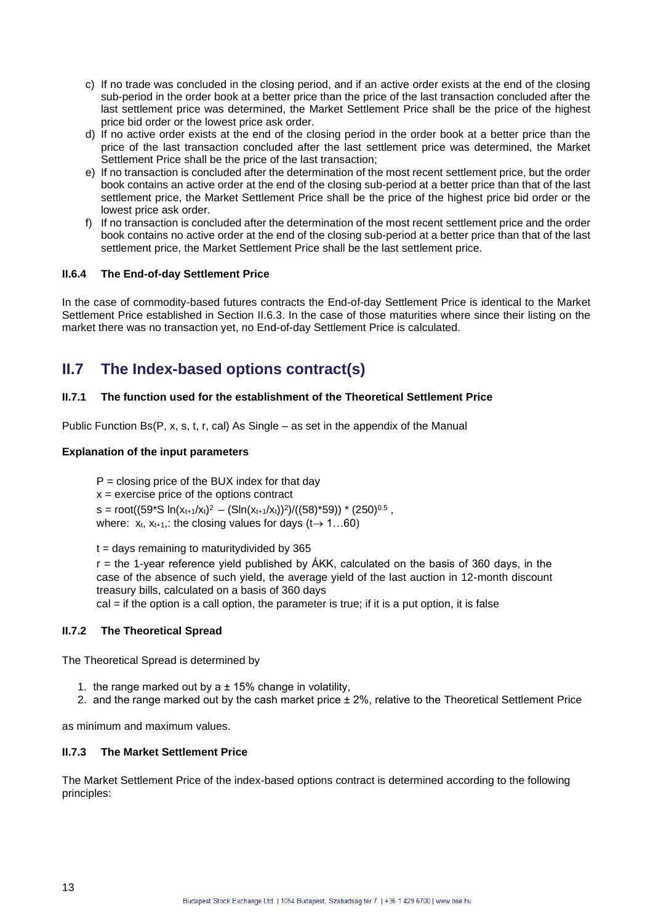- c) If no trade was concluded in the closing period, and if an active order exists at the end of the closing sub-period in the order book at a better price than the price of the last transaction concluded after the last settlement price was determined, the Market Settlement Price shall be the price of the highest price bid order or the lowest price ask order.
- d) If no active order exists at the end of the closing period in the order book at a better price than the price of the last transaction concluded after the last settlement price was determined, the Market Settlement Price shall be the price of the last transaction;
- e) If no transaction is concluded after the determination of the most recent settlement price, but the order book contains an active order at the end of the closing sub-period at a better price than that of the last settlement price, the Market Settlement Price shall be the price of the highest price bid order or the lowest price ask order.
- f) If no transaction is concluded after the determination of the most recent settlement price and the order book contains no active order at the end of the closing sub-period at a better price than that of the last settlement price, the Market Settlement Price shall be the last settlement price.

### **II.6.4 The End-of-day Settlement Price**

In the case of commodity-based futures contracts the End-of-day Settlement Price is identical to the Market Settlement Price established in Section II.6.3. In the case of those maturities where since their listing on the market there was no transaction yet, no End-of-day Settlement Price is calculated.

# **II.7 The Index-based options contract(s)**

### **II.7.1 The function used for the establishment of the Theoretical Settlement Price**

Public Function Bs(P, x, s, t, r, cal) As Single – as set in the appendix of the Manual

### **Explanation of the input parameters**

 $P =$  closing price of the BUX index for that day  $x =$  exercise price of the options contract s = root((59\*S ln(x<sub>t+1</sub>/x<sub>t</sub>)<sup>2</sup> - (Sln(x<sub>t+1</sub>/x<sub>t</sub>))<sup>2</sup>)/((58)\*59)) \* (250)<sup>0.5</sup> , where:  $x_t$ ,  $x_{t+1}$ , the closing values for days ( $t \rightarrow 1...60$ )

 $t =$  days remaining to maturity divided by 365

 $r =$  the 1-year reference yield published by  $\overrightarrow{A}KK$ , calculated on the basis of 360 days, in the case of the absence of such yield, the average yield of the last auction in 12-month discount treasury bills, calculated on a basis of 360 days

cal = if the option is a call option, the parameter is true; if it is a put option, it is false

### **II.7.2 The Theoretical Spread**

The Theoretical Spread is determined by

- 1. the range marked out by a  $\pm$  15% change in volatility,
- 2. and the range marked out by the cash market price ± 2%, relative to the Theoretical Settlement Price

as minimum and maximum values.

### **II.7.3 The Market Settlement Price**

The Market Settlement Price of the index-based options contract is determined according to the following principles: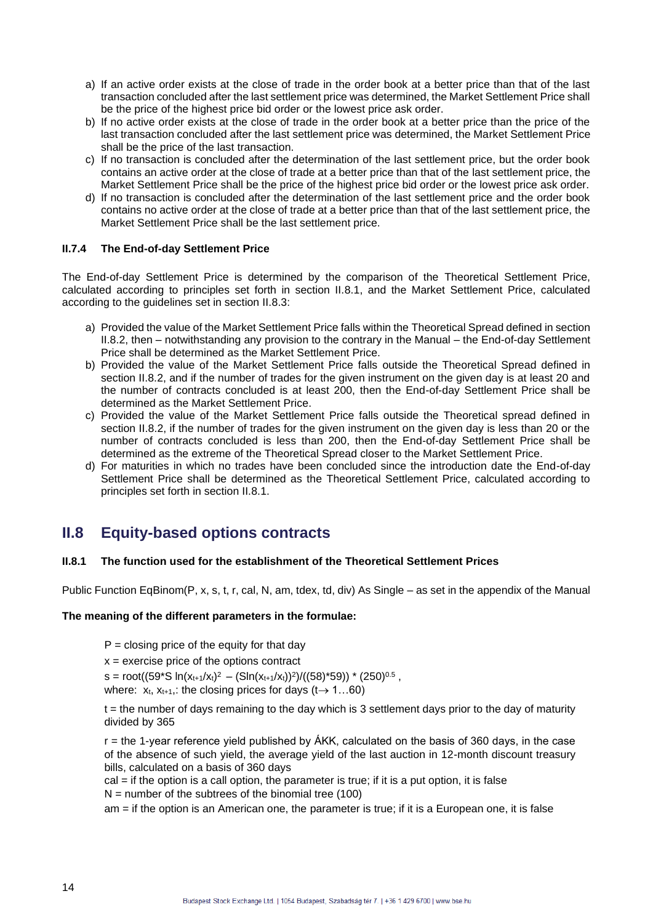- a) If an active order exists at the close of trade in the order book at a better price than that of the last transaction concluded after the last settlement price was determined, the Market Settlement Price shall be the price of the highest price bid order or the lowest price ask order.
- b) If no active order exists at the close of trade in the order book at a better price than the price of the last transaction concluded after the last settlement price was determined, the Market Settlement Price shall be the price of the last transaction.
- c) If no transaction is concluded after the determination of the last settlement price, but the order book contains an active order at the close of trade at a better price than that of the last settlement price, the Market Settlement Price shall be the price of the highest price bid order or the lowest price ask order.
- d) If no transaction is concluded after the determination of the last settlement price and the order book contains no active order at the close of trade at a better price than that of the last settlement price, the Market Settlement Price shall be the last settlement price.

### **II.7.4 The End-of-day Settlement Price**

The End-of-day Settlement Price is determined by the comparison of the Theoretical Settlement Price, calculated according to principles set forth in section II.8.1, and the Market Settlement Price, calculated according to the guidelines set in section II.8.3:

- a) Provided the value of the Market Settlement Price falls within the Theoretical Spread defined in section II.8.2, then – notwithstanding any provision to the contrary in the Manual – the End-of-day Settlement Price shall be determined as the Market Settlement Price.
- b) Provided the value of the Market Settlement Price falls outside the Theoretical Spread defined in section II.8.2, and if the number of trades for the given instrument on the given day is at least 20 and the number of contracts concluded is at least 200, then the End-of-day Settlement Price shall be determined as the Market Settlement Price.
- c) Provided the value of the Market Settlement Price falls outside the Theoretical spread defined in section II.8.2, if the number of trades for the given instrument on the given day is less than 20 or the number of contracts concluded is less than 200, then the End-of-day Settlement Price shall be determined as the extreme of the Theoretical Spread closer to the Market Settlement Price.
- d) For maturities in which no trades have been concluded since the introduction date the End-of-day Settlement Price shall be determined as the Theoretical Settlement Price, calculated according to principles set forth in section II.8.1.

# **II.8 Equity-based options contracts**

### **II.8.1 The function used for the establishment of the Theoretical Settlement Prices**

Public Function EqBinom(P, x, s, t, r, cal, N, am, tdex, td, div) As Single – as set in the appendix of the Manual

### **The meaning of the different parameters in the formulae:**

 $P =$  closing price of the equity for that day

 $x =$  exercise price of the options contract

s = root((59\*S ln(x<sub>t+1</sub>/x<sub>t)</sub><sup>2</sup> – (Sln(x<sub>t+1</sub>/x<sub>t)</sub>)<sup>2</sup>)/((58)\*59)) \* (250)<sup>0.5</sup> , where:  $x_t$ ,  $x_{t+1}$ , the closing prices for days (t $\rightarrow$  1...60)

t = the number of days remaining to the day which is 3 settlement days prior to the day of maturity divided by 365

 $r =$  the 1-year reference yield published by  $\acute{A}KK$ , calculated on the basis of 360 days, in the case of the absence of such yield, the average yield of the last auction in 12-month discount treasury bills, calculated on a basis of 360 days

cal = if the option is a call option, the parameter is true; if it is a put option, it is false  $N =$  number of the subtrees of the binomial tree (100)

am = if the option is an American one, the parameter is true; if it is a European one, it is false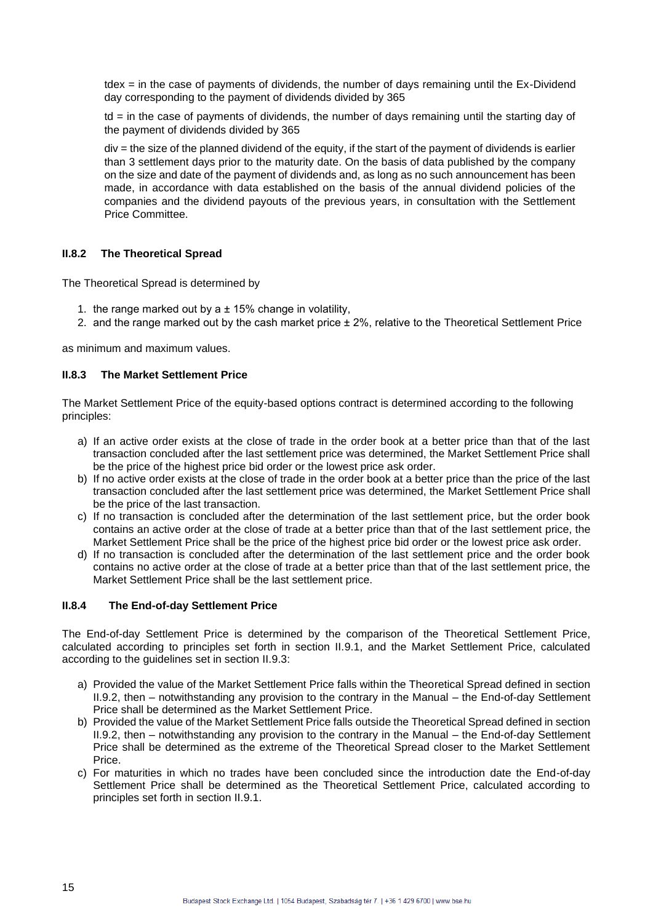tdex = in the case of payments of dividends, the number of days remaining until the Ex-Dividend day corresponding to the payment of dividends divided by 365

 $td =$  in the case of payments of dividends, the number of days remaining until the starting day of the payment of dividends divided by 365

div = the size of the planned dividend of the equity, if the start of the payment of dividends is earlier than 3 settlement days prior to the maturity date. On the basis of data published by the company on the size and date of the payment of dividends and, as long as no such announcement has been made, in accordance with data established on the basis of the annual dividend policies of the companies and the dividend payouts of the previous years, in consultation with the Settlement Price Committee.

### **II.8.2 The Theoretical Spread**

The Theoretical Spread is determined by

- 1. the range marked out by a  $\pm$  15% change in volatility,
- 2. and the range marked out by the cash market price ± 2%, relative to the Theoretical Settlement Price

as minimum and maximum values.

### **II.8.3 The Market Settlement Price**

The Market Settlement Price of the equity-based options contract is determined according to the following principles:

- a) If an active order exists at the close of trade in the order book at a better price than that of the last transaction concluded after the last settlement price was determined, the Market Settlement Price shall be the price of the highest price bid order or the lowest price ask order.
- b) If no active order exists at the close of trade in the order book at a better price than the price of the last transaction concluded after the last settlement price was determined, the Market Settlement Price shall be the price of the last transaction.
- c) If no transaction is concluded after the determination of the last settlement price, but the order book contains an active order at the close of trade at a better price than that of the last settlement price, the Market Settlement Price shall be the price of the highest price bid order or the lowest price ask order.
- d) If no transaction is concluded after the determination of the last settlement price and the order book contains no active order at the close of trade at a better price than that of the last settlement price, the Market Settlement Price shall be the last settlement price.

### **II.8.4 The End-of-day Settlement Price**

The End-of-day Settlement Price is determined by the comparison of the Theoretical Settlement Price, calculated according to principles set forth in section II.9.1, and the Market Settlement Price, calculated according to the guidelines set in section II.9.3:

- a) Provided the value of the Market Settlement Price falls within the Theoretical Spread defined in section II.9.2, then – notwithstanding any provision to the contrary in the Manual – the End-of-day Settlement Price shall be determined as the Market Settlement Price.
- b) Provided the value of the Market Settlement Price falls outside the Theoretical Spread defined in section II.9.2, then – notwithstanding any provision to the contrary in the Manual – the End-of-day Settlement Price shall be determined as the extreme of the Theoretical Spread closer to the Market Settlement Price.
- c) For maturities in which no trades have been concluded since the introduction date the End-of-day Settlement Price shall be determined as the Theoretical Settlement Price, calculated according to principles set forth in section II.9.1.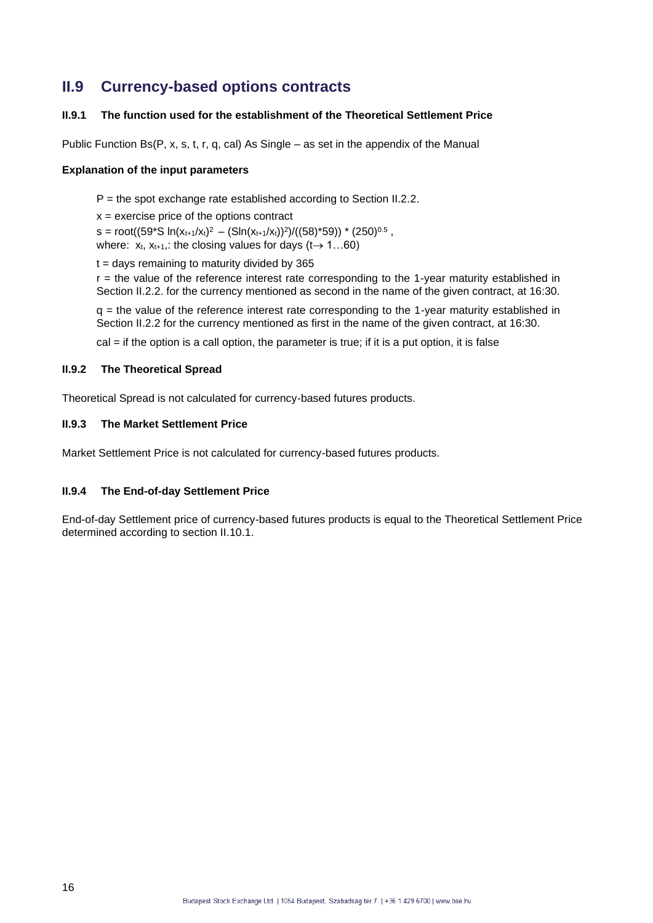# **II.9 Currency-based options contracts**

### **II.9.1 The function used for the establishment of the Theoretical Settlement Price**

Public Function Bs(P, x, s, t, r, q, cal) As Single – as set in the appendix of the Manual

### **Explanation of the input parameters**

 $P =$  the spot exchange rate established according to Section II.2.2.

 $x =$  exercise price of the options contract

s = root((59\*S  $ln(x_{t+1}/x_t)^2 - (Sin(x_{t+1}/x_t))^2)/( (58)^*59)$ ) \* (250)<sup>0.5</sup> , where:  $x_t$ ,  $x_{t+1}$ , the closing values for days ( $t \rightarrow 1...60$ )

 $t =$  days remaining to maturity divided by 365

 $r =$  the value of the reference interest rate corresponding to the 1-year maturity established in Section II.2.2. for the currency mentioned as second in the name of the given contract, at 16:30.

 $q =$  the value of the reference interest rate corresponding to the 1-year maturity established in Section II.2.2 for the currency mentioned as first in the name of the given contract, at 16:30.

cal = if the option is a call option, the parameter is true; if it is a put option, it is false

### **II.9.2 The Theoretical Spread**

Theoretical Spread is not calculated for currency-based futures products.

### **II.9.3 The Market Settlement Price**

Market Settlement Price is not calculated for currency-based futures products.

### **II.9.4 The End-of-day Settlement Price**

End-of-day Settlement price of currency-based futures products is equal to the Theoretical Settlement Price determined according to section II.10.1.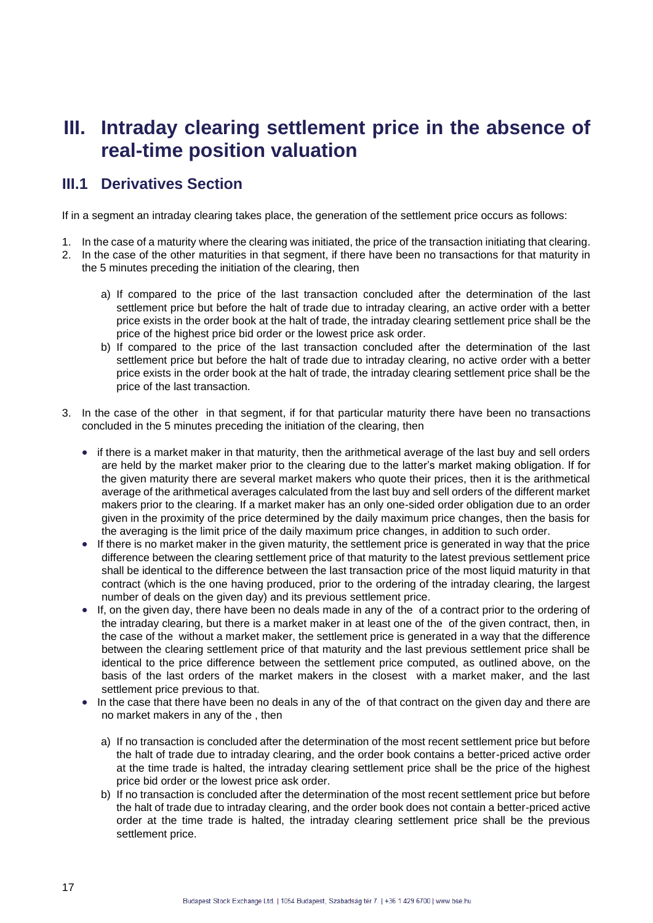# **III. Intraday clearing settlement price in the absence of real-time position valuation**

## **III.1 Derivatives Section**

If in a segment an intraday clearing takes place, the generation of the settlement price occurs as follows:

- 1. In the case of a maturity where the clearing was initiated, the price of the transaction initiating that clearing.
- 2. In the case of the other maturities in that segment, if there have been no transactions for that maturity in the 5 minutes preceding the initiation of the clearing, then
	- a) If compared to the price of the last transaction concluded after the determination of the last settlement price but before the halt of trade due to intraday clearing, an active order with a better price exists in the order book at the halt of trade, the intraday clearing settlement price shall be the price of the highest price bid order or the lowest price ask order.
	- b) If compared to the price of the last transaction concluded after the determination of the last settlement price but before the halt of trade due to intraday clearing, no active order with a better price exists in the order book at the halt of trade, the intraday clearing settlement price shall be the price of the last transaction.
- 3. In the case of the other in that segment, if for that particular maturity there have been no transactions concluded in the 5 minutes preceding the initiation of the clearing, then
	- if there is a market maker in that maturity, then the arithmetical average of the last buy and sell orders are held by the market maker prior to the clearing due to the latter's market making obligation. If for the given maturity there are several market makers who quote their prices, then it is the arithmetical average of the arithmetical averages calculated from the last buy and sell orders of the different market makers prior to the clearing. If a market maker has an only one-sided order obligation due to an order given in the proximity of the price determined by the daily maximum price changes, then the basis for the averaging is the limit price of the daily maximum price changes, in addition to such order.
	- If there is no market maker in the given maturity, the settlement price is generated in way that the price difference between the clearing settlement price of that maturity to the latest previous settlement price shall be identical to the difference between the last transaction price of the most liquid maturity in that contract (which is the one having produced, prior to the ordering of the intraday clearing, the largest number of deals on the given day) and its previous settlement price.
	- If, on the given day, there have been no deals made in any of the of a contract prior to the ordering of the intraday clearing, but there is a market maker in at least one of the of the given contract, then, in the case of the without a market maker, the settlement price is generated in a way that the difference between the clearing settlement price of that maturity and the last previous settlement price shall be identical to the price difference between the settlement price computed, as outlined above, on the basis of the last orders of the market makers in the closest with a market maker, and the last settlement price previous to that.
	- In the case that there have been no deals in any of the of that contract on the given day and there are no market makers in any of the , then
		- a) If no transaction is concluded after the determination of the most recent settlement price but before the halt of trade due to intraday clearing, and the order book contains a better-priced active order at the time trade is halted, the intraday clearing settlement price shall be the price of the highest price bid order or the lowest price ask order.
		- b) If no transaction is concluded after the determination of the most recent settlement price but before the halt of trade due to intraday clearing, and the order book does not contain a better-priced active order at the time trade is halted, the intraday clearing settlement price shall be the previous settlement price.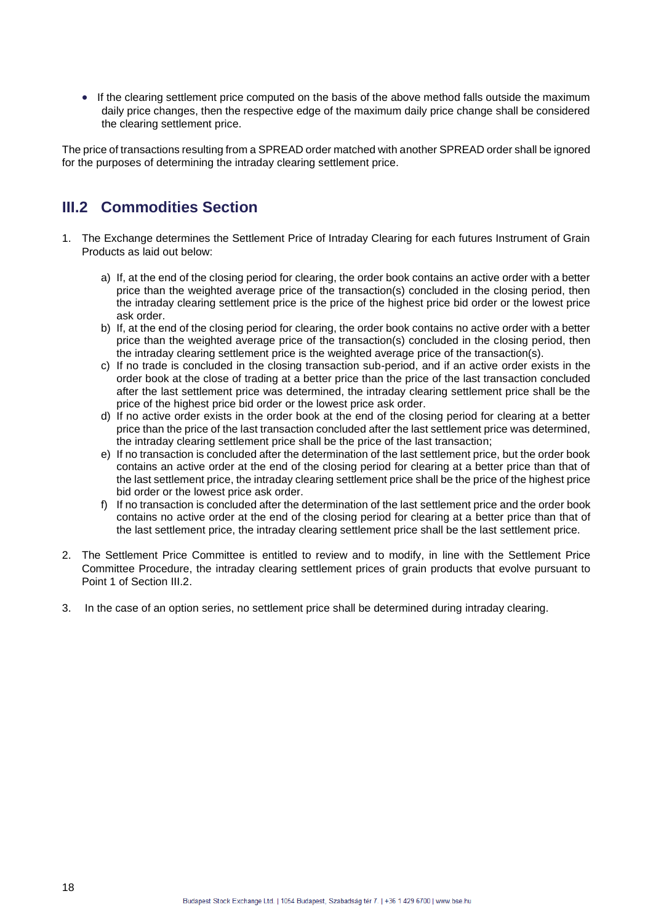• If the clearing settlement price computed on the basis of the above method falls outside the maximum daily price changes, then the respective edge of the maximum daily price change shall be considered the clearing settlement price.

The price of transactions resulting from a SPREAD order matched with another SPREAD order shall be ignored for the purposes of determining the intraday clearing settlement price.

## **III.2 Commodities Section**

- 1. The Exchange determines the Settlement Price of Intraday Clearing for each futures Instrument of Grain Products as laid out below:
	- a) If, at the end of the closing period for clearing, the order book contains an active order with a better price than the weighted average price of the transaction(s) concluded in the closing period, then the intraday clearing settlement price is the price of the highest price bid order or the lowest price ask order.
	- b) If, at the end of the closing period for clearing, the order book contains no active order with a better price than the weighted average price of the transaction(s) concluded in the closing period, then the intraday clearing settlement price is the weighted average price of the transaction(s).
	- c) If no trade is concluded in the closing transaction sub-period, and if an active order exists in the order book at the close of trading at a better price than the price of the last transaction concluded after the last settlement price was determined, the intraday clearing settlement price shall be the price of the highest price bid order or the lowest price ask order.
	- d) If no active order exists in the order book at the end of the closing period for clearing at a better price than the price of the last transaction concluded after the last settlement price was determined, the intraday clearing settlement price shall be the price of the last transaction;
	- e) If no transaction is concluded after the determination of the last settlement price, but the order book contains an active order at the end of the closing period for clearing at a better price than that of the last settlement price, the intraday clearing settlement price shall be the price of the highest price bid order or the lowest price ask order.
	- f) If no transaction is concluded after the determination of the last settlement price and the order book contains no active order at the end of the closing period for clearing at a better price than that of the last settlement price, the intraday clearing settlement price shall be the last settlement price.
- 2. The Settlement Price Committee is entitled to review and to modify, in line with the Settlement Price Committee Procedure, the intraday clearing settlement prices of grain products that evolve pursuant to Point 1 of Section III.2.
- 3. In the case of an option series, no settlement price shall be determined during intraday clearing.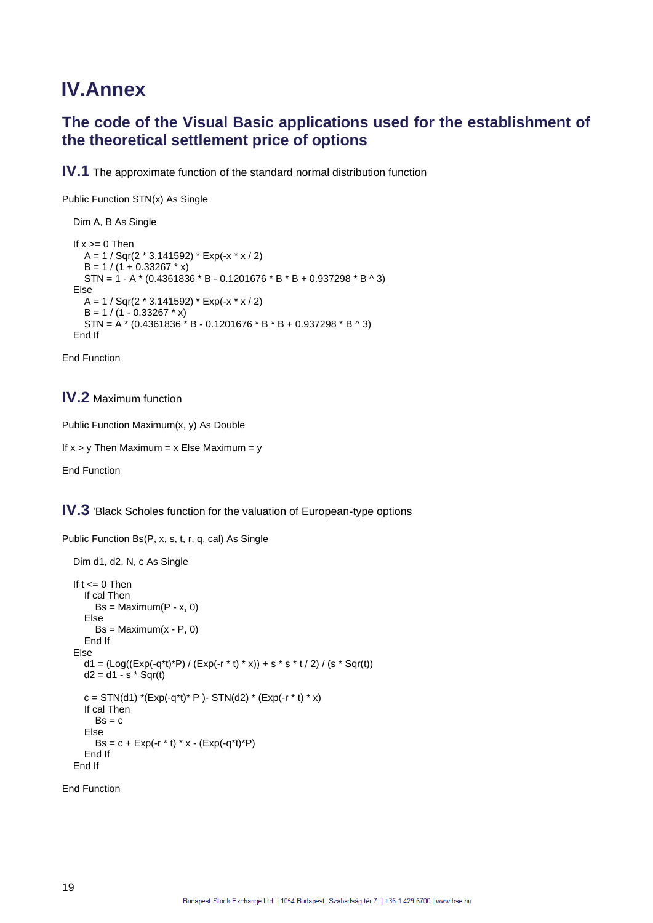# **IV.Annex**

## **The code of the Visual Basic applications used for the establishment of the theoretical settlement price of options**

**IV.1** The approximate function of the standard normal distribution function

Public Function STN(x) As Single

```
 Dim A, B As Single
If x \ge 0 Then
  A = 1 / \text{Sqr}(2 * 3.141592) * \text{Exp}(-x * x / 2)B = 1 / (1 + 0.33267 * x)STN = 1 - A * (0.4361836 * B - 0.1201676 * B * B + 0.937298 * B ^ 3)
 Else
  A = 1 / \text{Sqr}(2 * 3.141592) * \text{Exp}(-x * x / 2)B = 1 / (1 - 0.33267 * x)STN = A * (0.4361836 * B - 0.1201676 * B * B + 0.937298 * B * 3) End If
```
End Function

### **IV.2** Maximum function

```
Public Function Maximum(x, y) As Double
```

```
If x > y Then Maximum = x Else Maximum = y
```
End Function

**IV.3** 'Black Scholes function for the valuation of European-type options

Public Function Bs(P, x, s, t, r, q, cal) As Single

```
 Dim d1, d2, N, c As Single
If t \le 0 Then
   If cal Then
     Bs = Maximum(P - x, 0) Else
     Bs = Maximum(x - P, 0) End If
 Else
  d1 = (Log((Exp(-q^*t)^*P) / (Exp(-r^*t)^* x)) + s^* s^* t / 2) / (s^* Sqr(t))d2 = d1 - s * Sqr(t)c = STN(d1) *(Exp(-q*t)* P )- STN(d2) * (Exp(-r * t) * x)
   If cal Then
     Bs = c Else
     Bs = c + Exp(-r * t) * x - (Exp(-q * t) * P) End If
 End If
```
End Function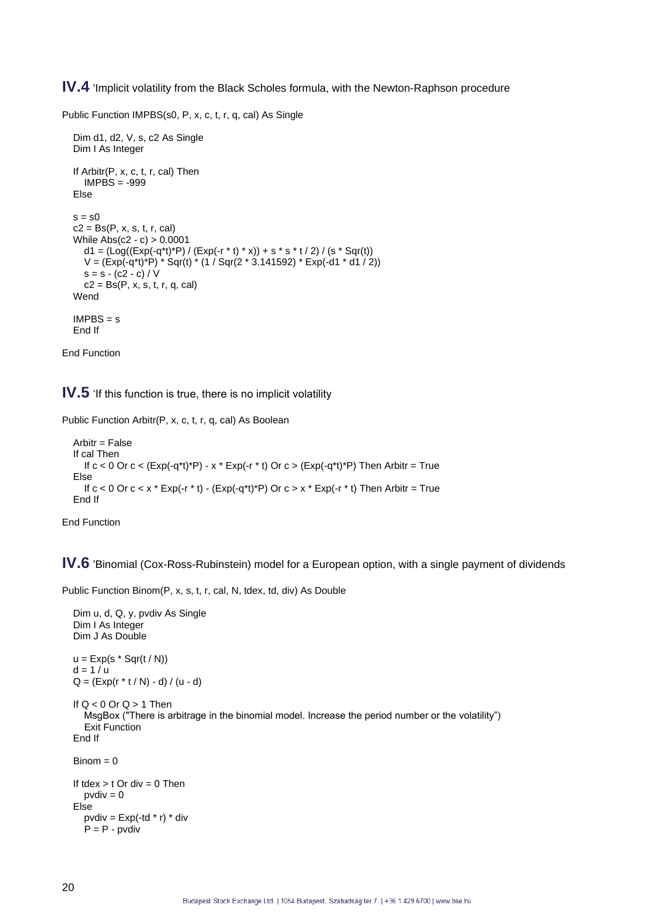**IV.4** 'Implicit volatility from the Black Scholes formula, with the Newton-Raphson procedure

Public Function IMPBS(s0, P, x, c, t, r, q, cal) As Single

```
 Dim d1, d2, V, s, c2 As Single
   Dim I As Integer
   If Arbitr(P, x, c, t, r, cal) Then
     IMPBS = -999
   Else
  s = s0c2 = Bs(P, x, s, t, r, cal) While Abs(c2 - c) > 0.0001
 d1 = (Log((Exp(-q*t)*P) / (Exp(-r * t) * x)) + s * s * t / 2) / (s * Sqr(t))
 V = (Exp(-q*t)*P) * Sqr(t) * (1 / Sqr(2 * 3.141592) * Exp(-d1 * d1 / 2))
    s = s - (c2 - c) / Vc2 = Bs(P, x, s, t, r, q, cal) Wend
  IMPBS = S End If
```
End Function

**IV.5** 'If this function is true, there is no implicit volatility

Public Function Arbitr(P, x, c, t, r, q, cal) As Boolean

```
Arbitr = False If cal Then
  If c < 0 Or c < (Exp(-q^*t)^*P) - x^* Exp(-r^*t) Or c > (Exp(-q^*t)^*P) Then Arbitr = True
 Else
  If c < 0 Or c < x * Exp(-r * t) - (Exp(-q * t) * P) Or c > x * Exp(-r * t) Then Arbitr = True
 End If
```
End Function

**IV.6** 'Binomial (Cox-Ross-Rubinstein) model for a European option, with a single payment of dividends

Public Function Binom(P, x, s, t, r, cal, N, tdex, td, div) As Double

```
 Dim u, d, Q, y, pvdiv As Single
 Dim I As Integer
 Dim J As Double
u = Exp(s * Sqr(t / N))d = 1 / uQ = (Exp(r * t / N) - d) / (u - d)If Q < 0 Or Q > 1 Then
   MsgBox ("There is arbitrage in the binomial model. Increase the period number or the volatility")
   Exit Function
 End If
Binom = 0If tdex > t Or div = 0 Then
  pvdiv = 0 Else
  pvdiv = Exp(-td * r) * divP = P - \text{pvdiv}
```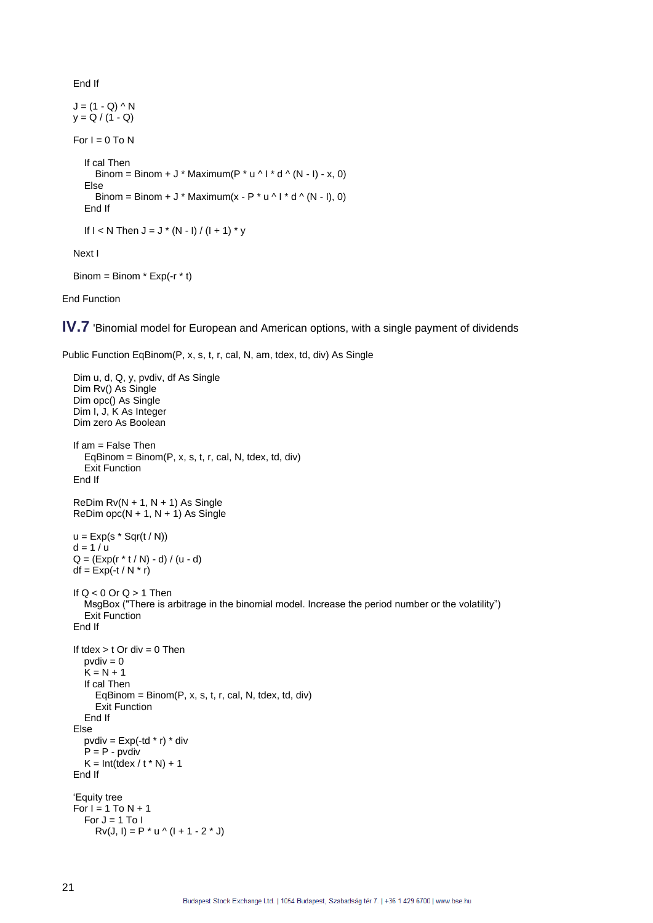End If

 $J = (1 - Q) \wedge N$  $y = Q / (1 - Q)$ For  $I = 0$  To N If cal Then Binom = Binom + J \* Maximum( $P * u \wedge I * d \wedge (N - I) - x$ , 0) Else Binom = Binom + J \* Maximum(x - P \* u ^ I \* d ^ (N - I), 0) End If If  $I < N$  Then  $J = J * (N - I) / (I + 1) * y$ 

Next I

```
Binom = Binom * Exp(-r * t)
```
End Function

**IV.7** 'Binomial model for European and American options, with a single payment of dividends

Public Function EqBinom(P, x, s, t, r, cal, N, am, tdex, td, div) As Single

```
 Dim u, d, Q, y, pvdiv, df As Single
 Dim Rv() As Single
 Dim opc() As Single
 Dim I, J, K As Integer
 Dim zero As Boolean
 If am = False Then
  EqBinom = Binom(P, x, s, t, r, cal, N, tdex, td; div) Exit Function
 End If
ReDim Rv(N + 1, N + 1) As Single
ReDim opc(N + 1, N + 1) As Single
u = Exp(s * Sqr(t / N))d = 1/uQ = (Exp(r * t / N) - d) / (u - d)df = Exp(-t / N * r)If Q < 0 Or Q > 1 Then
   MsgBox ("There is arbitrage in the binomial model. Increase the period number or the volatility")
   Exit Function
 End If
If tdex > t Or div = 0 Then
  pvdiv = 0
   K = N + 1 If cal Then
     EqBinom = Binom(P, x, s, t, r, cal, N, tdex, td; div) Exit Function
   End If
 Else
  pvdiv = Exp(-td * r) * divP = P - p vdiv
  K = Int(t \text{dex}/t * N) + 1 End If
 'Equity tree
For I = 1 To N + 1For J = 1 To I
     Rv(J, I) = P * u \wedge (I + 1 - 2 * J)
```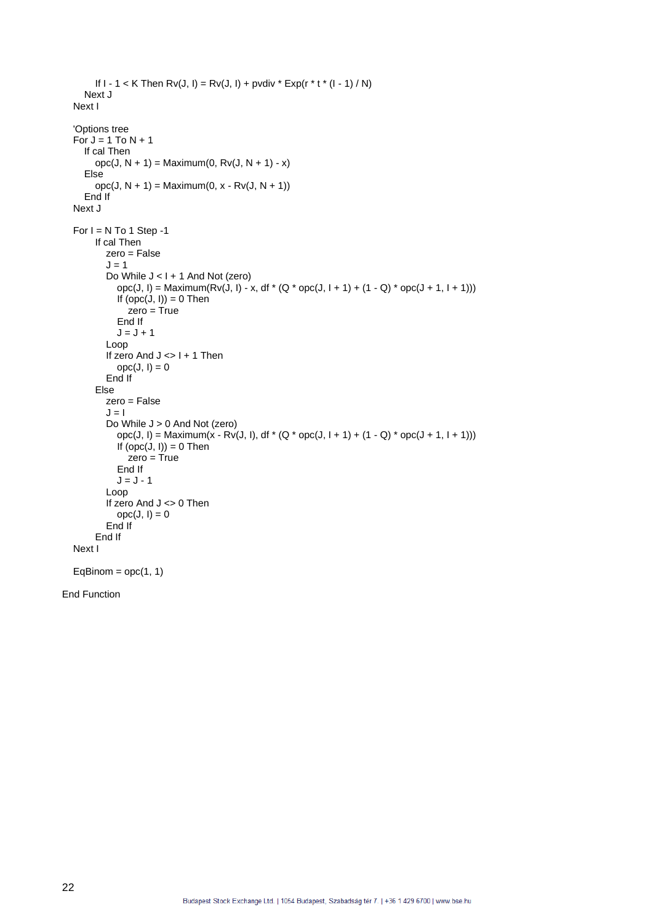```
If 1 - 1 < K Then Rv(J, I) = Rv(J, I) + \text{pvdiv} * \text{Exp}(r * t * (I - 1) / N) Next J
 Next I
 'Options tree
For J = 1 To N + 1 If cal Then
      opc(J, N + 1) = Maximum(0, Rv(J, N + 1) - x)
   Else
     opc(J, N + 1) = Maximum(0, x - Rv(J, N + 1))
   End If
 Next J
For I = N To 1 Step -1
      If cal Then
         zero = False
        J = 1Do While J < I + 1 And Not (zero)
          opc(J, I) = Maximum(Rv(J, I) - x, df * (Q * opc(J, I + 1) + (1 - Q) * opc(J + 1, I + 1)))
           If (opc(J, I)) = 0 Then
              zero = True
           End If
          J = J + 1 Loop
        If zero And J \leq 1 + 1 Then
          \text{opc}(J, I) = 0 End If
      Else
         zero = False
        J = 1 Do While J > 0 And Not (zero)
          opc(J, I) = Maximum(x - Rv(J, I), df * (Q * opc(J, I + 1) + (1 - Q) * opc(J + 1, I + 1)))
           If (opc(J, I)) = 0 Then
              zero = True
           End If
          J = J - 1 Loop
        If zero And J <> 0 Then
          \text{opc}(J, I) = 0 End If
      End If
 Next I
EqBinom = ope(1, 1)
```
End Function